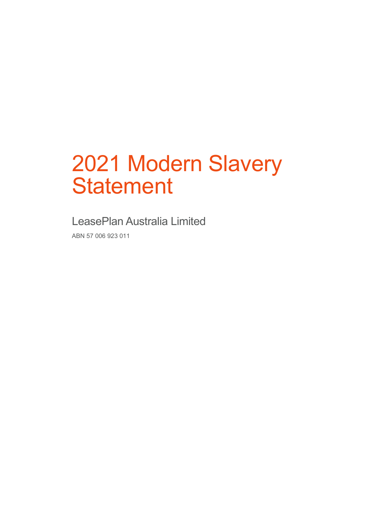# 2021 Modern Slavery **Statement**

LeasePlan Australia Limited

ABN 57 006 923 011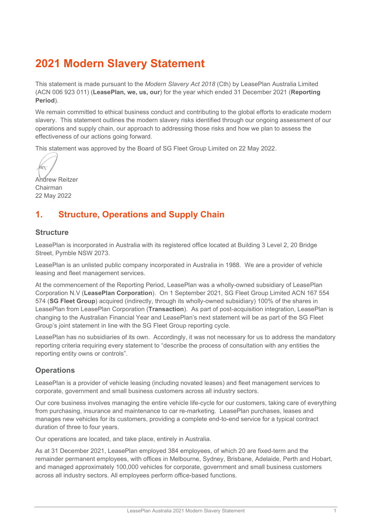## **2021 Modern Slavery Statement**

This statement is made pursuant to the *Modern Slavery Act 2018* (Cth) by LeasePlan Australia Limited (ACN 006 923 011) (**LeasePlan, we, us, our**) for the year which ended 31 December 2021 (**Reporting Period**).

We remain committed to ethical business conduct and contributing to the global efforts to eradicate modern slavery. This statement outlines the modern slavery risks identified through our ongoing assessment of our operations and supply chain, our approach to addressing those risks and how we plan to assess the effectiveness of our actions going forward.

This statement was approved by the Board of SG Fleet Group Limited on 22 May 2022.

 $\mathbb{M}$ 

Andrew Reitzer Chairman 22 May 2022

## <span id="page-1-0"></span>**1. Structure, Operations and Supply Chain**

#### **Structure**

LeasePlan is incorporated in Australia with its registered office located at Building 3 Level 2, 20 Bridge Street, Pymble NSW 2073.

LeasePlan is an unlisted public company incorporated in Australia in 1988. We are a provider of vehicle leasing and fleet management services.

At the commencement of the Reporting Period, LeasePlan was a wholly-owned subsidiary of LeasePlan Corporation N.V (**LeasePlan Corporation**). On 1 September 2021, SG Fleet Group Limited ACN 167 554 574 (**SG Fleet Group**) acquired (indirectly, through its wholly-owned subsidiary) 100% of the shares in LeasePlan from LeasePlan Corporation (**Transaction**). As part of post-acquisition integration, LeasePlan is changing to the Australian Financial Year and LeasePlan's next statement will be as part of the SG Fleet Group's joint statement in line with the SG Fleet Group reporting cycle.

LeasePlan has no subsidiaries of its own. Accordingly, it was not necessary for us to address the mandatory reporting criteria requiring every statement to "describe the process of consultation with any entities the reporting entity owns or controls".

## **Operations**

LeasePlan is a provider of vehicle leasing (including novated leases) and fleet management services to corporate, government and small business customers across all industry sectors.

Our core business involves managing the entire vehicle life-cycle for our customers, taking care of everything from purchasing, insurance and maintenance to car re-marketing. LeasePlan purchases, leases and manages new vehicles for its customers, providing a complete end-to-end service for a typical contract duration of three to four years.

Our operations are located, and take place, entirely in Australia.

As at 31 December 2021, LeasePlan employed 384 employees, of which 20 are fixed-term and the remainder permanent employees, with offices in Melbourne, Sydney, Brisbane, Adelaide, Perth and Hobart, and managed approximately 100,000 vehicles for corporate, government and small business customers across all industry sectors. All employees perform office-based functions.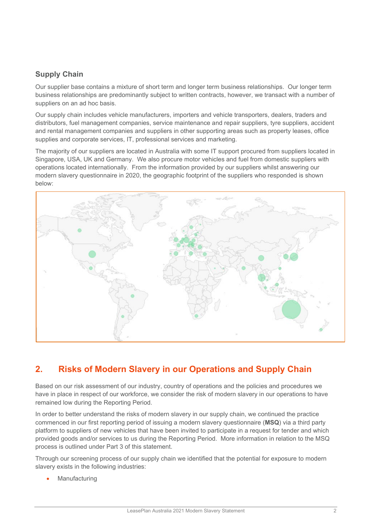## **Supply Chain**

Our supplier base contains a mixture of short term and longer term business relationships. Our longer term business relationships are predominantly subject to written contracts, however, we transact with a number of suppliers on an ad hoc basis.

Our supply chain includes vehicle manufacturers, importers and vehicle transporters, dealers, traders and distributors, fuel management companies, service maintenance and repair suppliers, tyre suppliers, accident and rental management companies and suppliers in other supporting areas such as property leases, office supplies and corporate services, IT, professional services and marketing.

The majority of our suppliers are located in Australia with some IT support procured from suppliers located in Singapore, USA, UK and Germany. We also procure motor vehicles and fuel from domestic suppliers with operations located internationally. From the information provided by our suppliers whilst answering our modern slavery questionnaire in 2020, the geographic footprint of the suppliers who responded is shown below:



## <span id="page-2-0"></span>**2. Risks of Modern Slavery in our Operations and Supply Chain**

Based on our risk assessment of our industry, country of operations and the policies and procedures we have in place in respect of our workforce, we consider the risk of modern slavery in our operations to have remained low during the Reporting Period.

In order to better understand the risks of modern slavery in our supply chain, we continued the practice commenced in our first reporting period of issuing a modern slavery questionnaire (**MSQ**) via a third party platform to suppliers of new vehicles that have been invited to participate in a request for tender and which provided goods and/or services to us during the Reporting Period. More information in relation to the MSQ process is outlined under Part 3 of this statement.

Through our screening process of our supply chain we identified that the potential for exposure to modern slavery exists in the following industries:

**Manufacturing**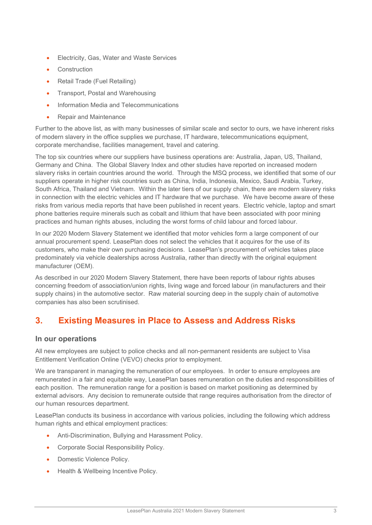- Electricity, Gas, Water and Waste Services
- **Construction**
- Retail Trade (Fuel Retailing)
- Transport, Postal and Warehousing
- Information Media and Telecommunications
- Repair and Maintenance

Further to the above list, as with many businesses of similar scale and sector to ours, we have inherent risks of modern slavery in the office supplies we purchase, IT hardware, telecommunications equipment, corporate merchandise, facilities management, travel and catering.

The top six countries where our suppliers have business operations are: Australia, Japan, US, Thailand, Germany and China. The Global Slavery Index and other studies have reported on increased modern slavery risks in certain countries around the world. Through the MSQ process, we identified that some of our suppliers operate in higher risk countries such as China, India, Indonesia, Mexico, Saudi Arabia, Turkey, South Africa, Thailand and Vietnam. Within the later tiers of our supply chain, there are modern slavery risks in connection with the electric vehicles and IT hardware that we purchase. We have become aware of these risks from various media reports that have been published in recent years. Electric vehicle, laptop and smart phone batteries require minerals such as cobalt and lithium that have been associated with poor mining practices and human rights abuses, including the worst forms of child labour and forced labour.

In our 2020 Modern Slavery Statement we identified that motor vehicles form a large component of our annual procurement spend. LeasePlan does not select the vehicles that it acquires for the use of its customers, who make their own purchasing decisions. LeasePlan's procurement of vehicles takes place predominately via vehicle dealerships across Australia, rather than directly with the original equipment manufacturer (OEM).

As described in our 2020 Modern Slavery Statement, there have been reports of labour rights abuses concerning freedom of association/union rights, living wage and forced labour (in manufacturers and their supply chains) in the automotive sector. Raw material sourcing deep in the supply chain of automotive companies has also been scrutinised.

## **3. Existing Measures in Place to Assess and Address Risks**

#### **In our operations**

All new employees are subject to police checks and all non-permanent residents are subject to Visa Entitlement Verification Online (VEVO) checks prior to employment.

We are transparent in managing the remuneration of our employees. In order to ensure employees are remunerated in a fair and equitable way, LeasePlan bases remuneration on the duties and responsibilities of each position. The remuneration range for a position is based on market positioning as determined by external advisors. Any decision to remunerate outside that range requires authorisation from the director of our human resources department.

LeasePlan conducts its business in accordance with various policies, including the following which address human rights and ethical employment practices:

- Anti-Discrimination, Bullying and Harassment Policy.
- Corporate Social Responsibility Policy.
- Domestic Violence Policy.
- Health & Wellbeing Incentive Policy.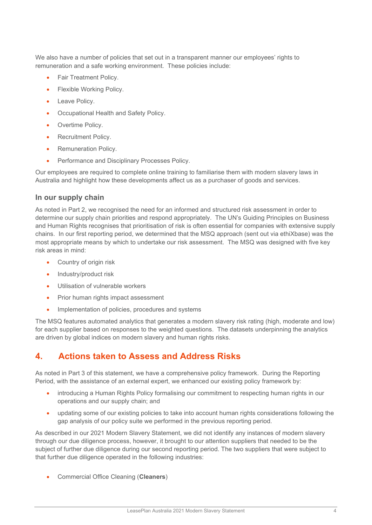We also have a number of policies that set out in a transparent manner our employees' rights to remuneration and a safe working environment. These policies include:

- Fair Treatment Policy.
- Flexible Working Policy.
- Leave Policy.
- Occupational Health and Safety Policy.
- Overtime Policy.
- Recruitment Policy.
- Remuneration Policy.
- Performance and Disciplinary Processes Policy.

Our employees are required to complete online training to familiarise them with modern slavery laws in Australia and highlight how these developments affect us as a purchaser of goods and services.

#### **In our supply chain**

As noted in Part 2, we recognised the need for an informed and structured risk assessment in order to determine our supply chain priorities and respond appropriately. The UN's Guiding Principles on Business and Human Rights recognises that prioritisation of risk is often essential for companies with extensive supply chains. In our first reporting period, we determined that the MSQ approach (sent out via ethiXbase) was the most appropriate means by which to undertake our risk assessment. The MSQ was designed with five key risk areas in mind:

- Country of origin risk
- Industry/product risk
- Utilisation of vulnerable workers
- Prior human rights impact assessment
- Implementation of policies, procedures and systems

The MSQ features automated analytics that generates a modern slavery risk rating (high, moderate and low) for each supplier based on responses to the weighted questions. The datasets underpinning the analytics are driven by global indices on modern slavery and human rights risks.

## <span id="page-4-0"></span>**4. Actions taken to Assess and Address Risks**

As noted in Part 3 of this statement, we have a comprehensive policy framework. During the Reporting Period, with the assistance of an external expert, we enhanced our existing policy framework by:

- introducing a Human Rights Policy formalising our commitment to respecting human rights in our operations and our supply chain; and
- updating some of our existing policies to take into account human rights considerations following the gap analysis of our policy suite we performed in the previous reporting period.

As described in our 2021 Modern Slavery Statement, we did not identify any instances of modern slavery through our due diligence process, however, it brought to our attention suppliers that needed to be the subject of further due diligence during our second reporting period. The two suppliers that were subject to that further due diligence operated in the following industries:

• Commercial Office Cleaning (**Cleaners**)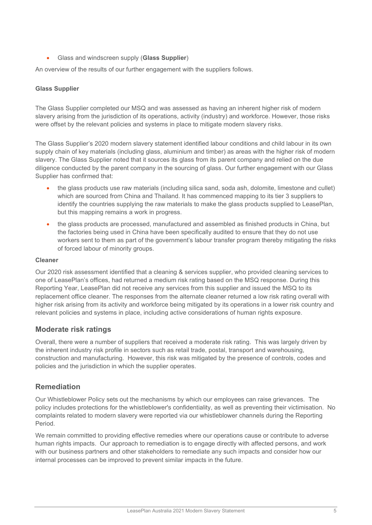• Glass and windscreen supply (**Glass Supplier**)

An overview of the results of our further engagement with the suppliers follows.

#### **Glass Supplier**

The Glass Supplier completed our MSQ and was assessed as having an inherent higher risk of modern slavery arising from the jurisdiction of its operations, activity (industry) and workforce. However, those risks were offset by the relevant policies and systems in place to mitigate modern slavery risks.

The Glass Supplier's 2020 modern slavery statement identified labour conditions and child labour in its own supply chain of key materials (including glass, aluminium and timber) as areas with the higher risk of modern slavery. The Glass Supplier noted that it sources its glass from its parent company and relied on the due diligence conducted by the parent company in the sourcing of glass. Our further engagement with our Glass Supplier has confirmed that:

- the glass products use raw materials (including silica sand, soda ash, dolomite, limestone and cullet) which are sourced from China and Thailand. It has commenced mapping to its tier 3 suppliers to identify the countries supplying the raw materials to make the glass products supplied to LeasePlan, but this mapping remains a work in progress.
- the glass products are processed, manufactured and assembled as finished products in China, but the factories being used in China have been specifically audited to ensure that they do not use workers sent to them as part of the government's labour transfer program thereby mitigating the risks of forced labour of minority groups.

#### **Cleaner**

Our 2020 risk assessment identified that a cleaning & services supplier, who provided cleaning services to one of LeasePlan's offices, had returned a medium risk rating based on the MSQ response. During this Reporting Year, LeasePlan did not receive any services from this supplier and issued the MSQ to its replacement office cleaner. The responses from the alternate cleaner returned a low risk rating overall with higher risk arising from its activity and workforce being mitigated by its operations in a lower risk country and relevant policies and systems in place, including active considerations of human rights exposure.

#### **Moderate risk ratings**

Overall, there were a number of suppliers that received a moderate risk rating. This was largely driven by the inherent industry risk profile in sectors such as retail trade, postal, transport and warehousing, construction and manufacturing. However, this risk was mitigated by the presence of controls, codes and policies and the jurisdiction in which the supplier operates.

## <span id="page-5-0"></span>**Remediation**

Our Whistleblower Policy sets out the mechanisms by which our employees can raise grievances. The policy includes protections for the whistleblower's confidentiality, as well as preventing their victimisation. No complaints related to modern slavery were reported via our whistleblower channels during the Reporting Period.

We remain committed to providing effective remedies where our operations cause or contribute to adverse human rights impacts. Our approach to remediation is to engage directly with affected persons, and work with our business partners and other stakeholders to remediate any such impacts and consider how our internal processes can be improved to prevent similar impacts in the future.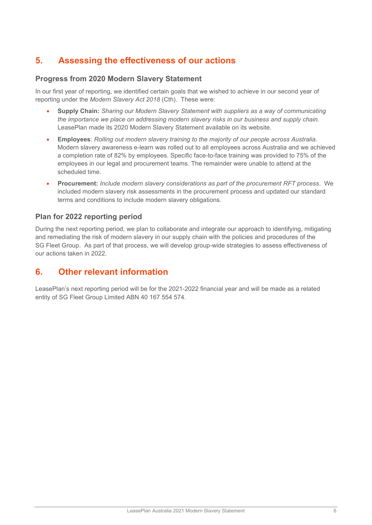## <span id="page-6-0"></span>**5. Assessing the effectiveness of our actions**

## **Progress from 2020 Modern Slavery Statement**

In our first year of reporting, we identified certain goals that we wished to achieve in our second year of reporting under the *Modern Slavery Act 2018* (Cth). These were:

- **Supply Chain:** *Sharing our Modern Slavery Statement with suppliers as a way of communicating the importance we place on addressing modern slavery risks in our business and supply chain.* LeasePlan made its 2020 Modern Slavery Statement available on its website.
- **Employees**: *Rolling out modern slavery training to the majority of our people across Australia.* Modern slavery awareness e-learn was rolled out to all employees across Australia and we achieved a completion rate of 82% by employees. Specific face-to-face training was provided to 75% of the employees in our legal and procurement teams. The remainder were unable to attend at the scheduled time.
- **Procurement:** *Include modern slavery considerations as part of the procurement RFT process*. We included modern slavery risk assessments in the procurement process and updated our standard terms and conditions to include modern slavery obligations.

## **Plan for 2022 reporting period**

During the next reporting period, we plan to collaborate and integrate our approach to identifying, mitigating and remediating the risk of modern slavery in our supply chain with the policies and procedures of the SG Fleet Group. As part of that process, we will develop group-wide strategies to assess effectiveness of our actions taken in 2022.

## <span id="page-6-1"></span>**6. Other relevant information**

LeasePlan's next reporting period will be for the 2021-2022 financial year and will be made as a related entity of SG Fleet Group Limited ABN 40 167 554 574.